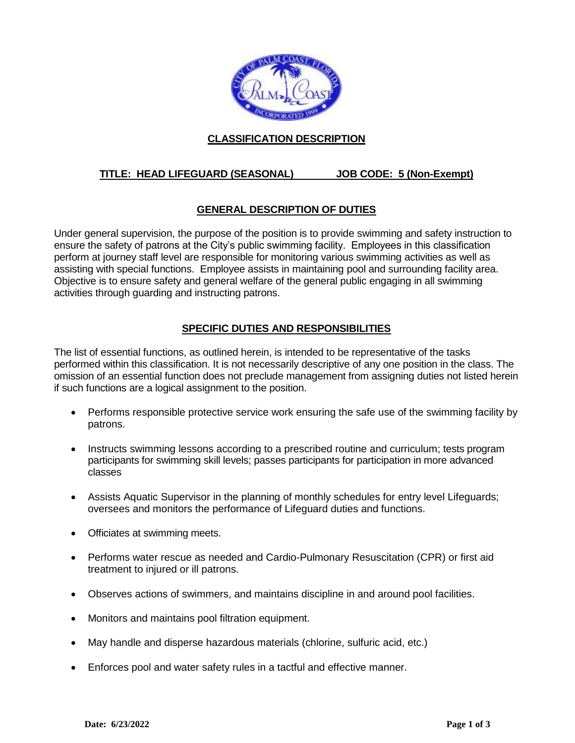

## **CLASSIFICATION DESCRIPTION**

# **TITLE: HEAD LIFEGUARD (SEASONAL) JOB CODE: 5 (Non-Exempt)**

## **GENERAL DESCRIPTION OF DUTIES**

Under general supervision, the purpose of the position is to provide swimming and safety instruction to ensure the safety of patrons at the City's public swimming facility. Employees in this classification perform at journey staff level are responsible for monitoring various swimming activities as well as assisting with special functions. Employee assists in maintaining pool and surrounding facility area. Objective is to ensure safety and general welfare of the general public engaging in all swimming activities through guarding and instructing patrons.

### **SPECIFIC DUTIES AND RESPONSIBILITIES**

The list of essential functions, as outlined herein, is intended to be representative of the tasks performed within this classification. It is not necessarily descriptive of any one position in the class. The omission of an essential function does not preclude management from assigning duties not listed herein if such functions are a logical assignment to the position.

- Performs responsible protective service work ensuring the safe use of the swimming facility by patrons.
- Instructs swimming lessons according to a prescribed routine and curriculum; tests program participants for swimming skill levels; passes participants for participation in more advanced classes
- Assists Aquatic Supervisor in the planning of monthly schedules for entry level Lifeguards; oversees and monitors the performance of Lifeguard duties and functions.
- Officiates at swimming meets.
- Performs water rescue as needed and Cardio-Pulmonary Resuscitation (CPR) or first aid treatment to injured or ill patrons.
- Observes actions of swimmers, and maintains discipline in and around pool facilities.
- Monitors and maintains pool filtration equipment.
- May handle and disperse hazardous materials (chlorine, sulfuric acid, etc.)
- Enforces pool and water safety rules in a tactful and effective manner.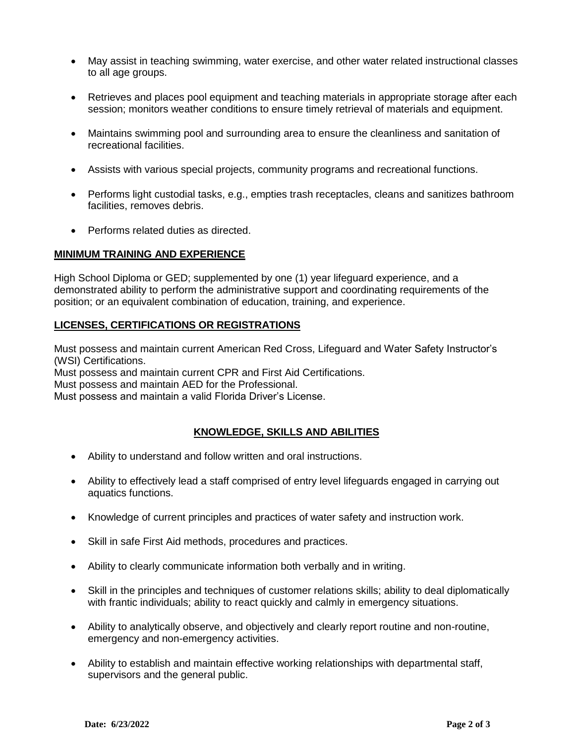- May assist in teaching swimming, water exercise, and other water related instructional classes to all age groups.
- Retrieves and places pool equipment and teaching materials in appropriate storage after each session; monitors weather conditions to ensure timely retrieval of materials and equipment.
- Maintains swimming pool and surrounding area to ensure the cleanliness and sanitation of recreational facilities.
- Assists with various special projects, community programs and recreational functions.
- Performs light custodial tasks, e.g., empties trash receptacles, cleans and sanitizes bathroom facilities, removes debris.
- Performs related duties as directed.

#### **MINIMUM TRAINING AND EXPERIENCE**

High School Diploma or GED; supplemented by one (1) year lifeguard experience, and a demonstrated ability to perform the administrative support and coordinating requirements of the position; or an equivalent combination of education, training, and experience.

### **LICENSES, CERTIFICATIONS OR REGISTRATIONS**

Must possess and maintain current American Red Cross, Lifeguard and Water Safety Instructor's (WSI) Certifications.

Must possess and maintain current CPR and First Aid Certifications.

Must possess and maintain AED for the Professional.

Must possess and maintain a valid Florida Driver's License.

### **KNOWLEDGE, SKILLS AND ABILITIES**

- Ability to understand and follow written and oral instructions.
- Ability to effectively lead a staff comprised of entry level lifeguards engaged in carrying out aquatics functions.
- Knowledge of current principles and practices of water safety and instruction work.
- Skill in safe First Aid methods, procedures and practices.
- Ability to clearly communicate information both verbally and in writing.
- Skill in the principles and techniques of customer relations skills; ability to deal diplomatically with frantic individuals; ability to react quickly and calmly in emergency situations.
- Ability to analytically observe, and objectively and clearly report routine and non-routine, emergency and non-emergency activities.
- Ability to establish and maintain effective working relationships with departmental staff, supervisors and the general public.